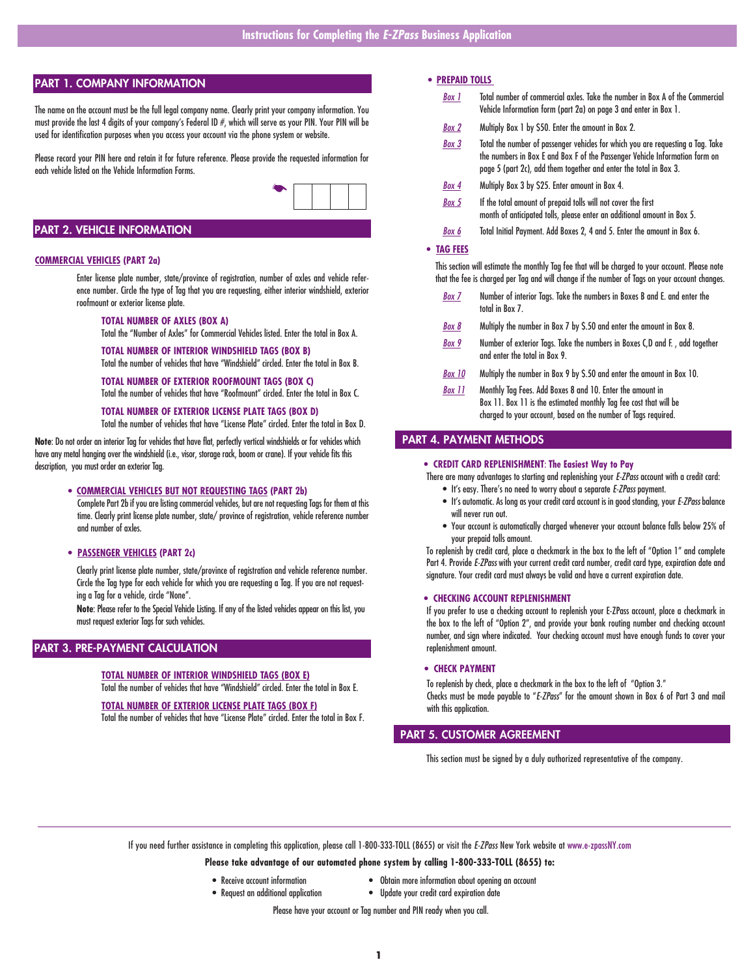### PART 1. COMPANY INFORMATION

The name on the account must be the full legal company name. Clearly print your company information. You must provide the last 4 digits of your company's Federal ID #, which will serve as your PIN. Your PIN will be used for identification purposes when you access your account via the phone system or website.

Please record your PIN here and retain it for future reference. Please provide the requested information for each vehicle listed on the Vehicle Information Forms.



### PART 2. VEHICLE INFORMATION

### **COMMERCIAL VEHICLES (PART 2a)**

 Enter license plate number, state/province of registration, number of axles and vehicle reference number. Circle the type of Tag that you are requesting, either interior windshield, exterior roofmount or exterior license plate.

### **TOTAL NUMBER OF AXLES (BOX A)**

Total the "Number of Axles" for Commercial Vehicles listed. Enter the total in Box A.

### **TOTAL NUMBER OF INTERIOR WINDSHIELD TAGS (BOX B)**

Total the number of vehicles that have "Windshield" circled. Enter the total in Box B.

### **TOTAL NUMBER OF EXTERIOR ROOFMOUNT TAGS (BOX C)**

Total the number of vehicles that have "Roofmount" circled. Enter the total in Box C.

### **TOTAL NUMBER OF EXTERIOR LICENSE PLATE TAGS (BOX D)**

Total the number of vehicles that have "License Plate" circled. Enter the total in Box D.

**Note**: Do not order an interior Tag for vehicles that have flat, perfectly vertical windshields or for vehicles which have any metal hanging over the windshield (i.e., visor, storage rack, boom or crane). If your vehicle fits this description, you must order an exterior Tag.

### **• COMMERCIAL VEHICLES BUT NOT REQUESTING TAGS (PART 2b)**

 Complete Part 2b if you are listing commercial vehicles, but are not requesting Tags for them at this time. Clearly print license plate number, state/ province of registration, vehicle reference number and number of axles.

### **• PASSENGER VEHICLES (PART 2c)**

Clearly print license plate number, state/province of registration and vehicle reference number. Circle the Tag type for each vehicle for which you are requesting a Tag. If you are not requesting a Tag for a vehicle, circle "None".

**Note**: Please refer to the Special Vehicle Listing. If any of the listed vehicles appear on this list, you must request exterior Tags for such vehicles.

### PART 3. PRE-PAYMENT CALCULATION

### **TOTAL NUMBER OF INTERIOR WINDSHIELD TAGS (BOX E)** Total the number of vehicles that have "Windshield" circled. Enter the total in Box E.

### **TOTAL NUMBER OF EXTERIOR LICENSE PLATE TAGS (BOX F)**

Total the number of vehicles that have "License Plate" circled. Enter the total in Box F.

### **• PREPAID TOLLS**

- *Box 1* Total number of commercial axles. Take the number in Box A of the Commercial Vehicle Information form (part 2a) on page 3 and enter in Box 1.
- *Box 2* Multiply Box 1 by \$50. Enter the amount in Box 2.
- *Box 3* Total the number of passenger vehicles for which you are requesting a Tag. Take the numbers in Box E and Box F of the Passenger Vehicle Information form on page 5 (part 2c), add them together and enter the total in Box 3.
- *Box 4* Multiply Box 3 by \$25. Enter amount in Box 4.
- *Box 5* If the total amount of prepaid tolls will not cover the first month of anticipated tolls, please enter an additional amount in Box 5.
- *Box 6* Total Initial Payment. Add Boxes 2, 4 and 5. Enter the amount in Box 6.

### **• TAG FEES**

This section will estimate the monthly Tag fee that will be charged to your account. Please note that the fee is charged per Tag and will change if the number of Tags on your account changes.

- *Box 7* Number of interior Tags. Take the numbers in Boxes B and E. and enter the total in Box 7.
- *Box 8* Multiply the number in Box 7 by \$.50 and enter the amount in Box 8.
- *Box 9* Number of exterior Tags. Take the numbers in Boxes C,D and F. , add together and enter the total in Box 9.
- *Box 10* Multiply the number in Box 9 by \$.50 and enter the amount in Box 10.
- *Box 11* Monthly Tag Fees. Add Boxes 8 and 10. Enter the amount in Box 11. Box 11 is the estimated monthly Tag fee cost that will be charged to your account, based on the number of Tags required.

### PART 4. PAYMENT METHODS

### **• CREDIT CARD REPLENISHMENT**: **The Easiest Way to Pay**

There are many advantages to starting and replenishing your *E-ZPass* account with a credit card: • It's easy. There's no need to worry about a separate *E-ZPass* payment.

- It's automatic. As long as your credit card account is in good standing, your *E-ZPass* balance will never run out.
- Your account is automatically charged whenever your account balance falls below 25% of your prepaid tolls amount.

To replenish by credit card, place a checkmark in the box to the left of "Option 1" and complete Part 4. Provide *E-ZPass* with your current credit card number, credit card type, expiration date and signature. Your credit card must always be valid and have a current expiration date.

#### **• CHECKING ACCOUNT REPLENISHMENT**

If you prefer to use a checking account to replenish your E-ZPass account, place a checkmark in the box to the left of "Option 2", and provide your bank routing number and checking account number, and sign where indicated. Your checking account must have enough funds to cover your replenishment amount.

#### **• CHECK PAYMENT**

To replenish by check, place a checkmark in the box to the left of "Option 3." Checks must be made payable to "*E-ZPass*" for the amount shown in Box 6 of Part 3 and mail with this application.

### PART 5. CUSTOMER AGREEMENT

This section must be signed by a duly authorized representative of the company.

If you need further assistance in completing this application, please call 1-800-333-TOLL (8655) or visit the *E-ZPass* New York website at www.e-zpassNY.com

### **Please take advantage of our automated phone system by calling 1-800-333-TOLL (8655) to:**

- 
- Request an additional application Update your credit card expiration date
- Receive account information Obtain more information about opening an account
	-

Please have your account or Tag number and PIN ready when you call.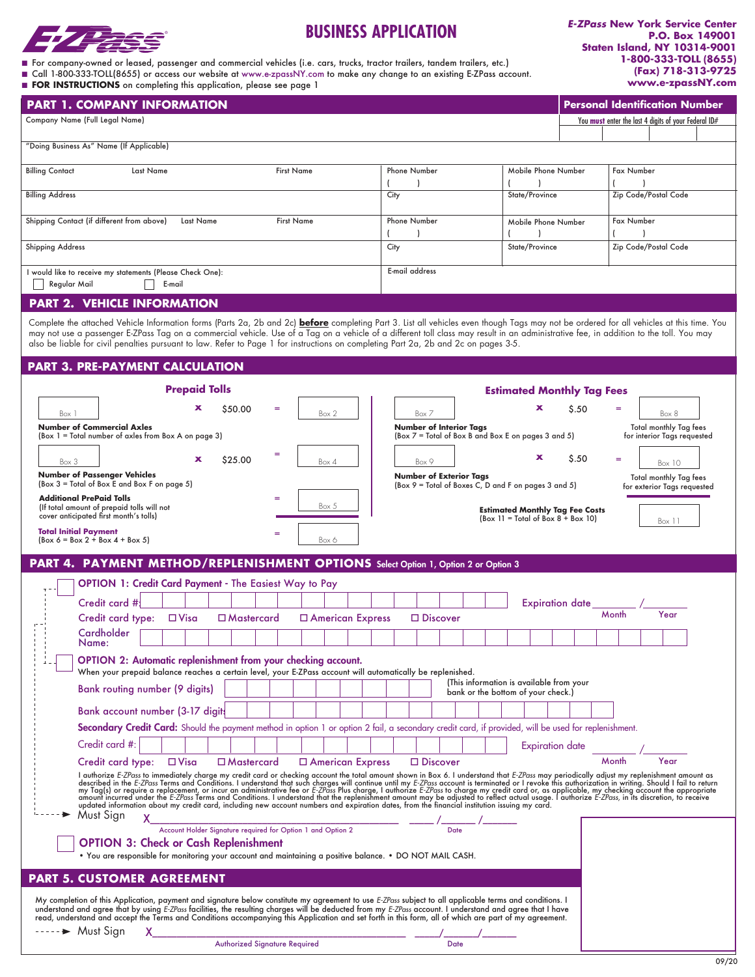

# **BUSINESS APPLICATION**

*E-ZPass* **New York Service Center P.O. Box 149001 Staten Island, NY 10314-9001 1-800-333-TOLL (8655) (Fax) 718-313-9725 www.e-zpassNY.com**

| ■ For company-owned or leased, passenger and commercial vehicles (i.e. cars, trucks, tractor trailers, tandem trailers, etc.) |  |
|-------------------------------------------------------------------------------------------------------------------------------|--|
|-------------------------------------------------------------------------------------------------------------------------------|--|

n Call 1-800-333-TOLL(8655) or access our website at www.e-zpassNY.com to make any change to an existing E-ZPass account. **n** FOR INSTRUCTIONS on completing this application, please see page 1

| <b>PART 1. COMPANY INFORMATION</b>                                                                                                                                                                                                                                                                                                                                                                                                                                                                                                                                         |                                                                                       |                                                                                |       | <b>Personal Identification Number</b>                        |
|----------------------------------------------------------------------------------------------------------------------------------------------------------------------------------------------------------------------------------------------------------------------------------------------------------------------------------------------------------------------------------------------------------------------------------------------------------------------------------------------------------------------------------------------------------------------------|---------------------------------------------------------------------------------------|--------------------------------------------------------------------------------|-------|--------------------------------------------------------------|
| Company Name (Full Legal Name)                                                                                                                                                                                                                                                                                                                                                                                                                                                                                                                                             |                                                                                       |                                                                                |       | You must enter the last 4 digits of your Federal ID#         |
| "Doing Business As" Name (If Applicable)                                                                                                                                                                                                                                                                                                                                                                                                                                                                                                                                   |                                                                                       |                                                                                |       |                                                              |
|                                                                                                                                                                                                                                                                                                                                                                                                                                                                                                                                                                            |                                                                                       |                                                                                |       |                                                              |
| <b>Billing Contact</b><br><b>Last Name</b><br><b>First Name</b>                                                                                                                                                                                                                                                                                                                                                                                                                                                                                                            | <b>Phone Number</b>                                                                   | Mobile Phone Number                                                            |       | Fax Number                                                   |
| <b>Billing Address</b>                                                                                                                                                                                                                                                                                                                                                                                                                                                                                                                                                     | City                                                                                  | State/Province                                                                 |       | Zip Code/Postal Code                                         |
| Shipping Contact (if different from above)<br><b>Last Name</b><br><b>First Name</b>                                                                                                                                                                                                                                                                                                                                                                                                                                                                                        | <b>Phone Number</b>                                                                   |                                                                                |       | <b>Fax Number</b>                                            |
|                                                                                                                                                                                                                                                                                                                                                                                                                                                                                                                                                                            |                                                                                       | Mobile Phone Number                                                            |       |                                                              |
| <b>Shipping Address</b>                                                                                                                                                                                                                                                                                                                                                                                                                                                                                                                                                    | City                                                                                  | State/Province                                                                 |       | Zip Code/Postal Code                                         |
| I would like to receive my statements (Please Check One):<br>Regular Mail<br>E-mail                                                                                                                                                                                                                                                                                                                                                                                                                                                                                        | E-mail address                                                                        |                                                                                |       |                                                              |
| <b>PART 2. VEHICLE INFORMATION</b>                                                                                                                                                                                                                                                                                                                                                                                                                                                                                                                                         |                                                                                       |                                                                                |       |                                                              |
| Complete the attached Vehicle Information forms (Parts 2a, 2b and 2c) <b>before</b> completing Part 3. List all vehicles even though Tags may not be ordered for all vehicles at this time. You<br>may not use a passenger E-ZPass Tag on a commercial vehicle. Use of a Tag on a vehicle of a different toll class may result in an administrative fee, in addition to the toll. You may<br>also be liable for civil penalties pursuant to law. Refer to Page 1 for instructions on completing Part 2a, 2b and 2c on pages 3-5.<br><b>PART 3. PRE-PAYMENT CALCULATION</b> |                                                                                       |                                                                                |       |                                                              |
|                                                                                                                                                                                                                                                                                                                                                                                                                                                                                                                                                                            |                                                                                       |                                                                                |       |                                                              |
| <b>Prepaid Tolls</b>                                                                                                                                                                                                                                                                                                                                                                                                                                                                                                                                                       |                                                                                       | <b>Estimated Monthly Tag Fees</b>                                              |       |                                                              |
| \$50.00<br>$=$<br>Box 1<br>Box 2                                                                                                                                                                                                                                                                                                                                                                                                                                                                                                                                           | Box 7                                                                                 | x                                                                              | \$.50 | =<br>Box 8                                                   |
| <b>Number of Commercial Axles</b><br>(Box 1 = Total number of axles from Box A on page 3)                                                                                                                                                                                                                                                                                                                                                                                                                                                                                  | <b>Number of Interior Tags</b><br>(Box 7 = Total of Box B and Box E on pages 3 and 5) |                                                                                |       | <b>Total monthly Tag fees</b><br>for interior Tags requested |
| $=$<br>\$25.00<br>x                                                                                                                                                                                                                                                                                                                                                                                                                                                                                                                                                        |                                                                                       | x                                                                              | \$.50 | Ξ                                                            |
| Box 3<br>Box 4<br><b>Number of Passenger Vehicles</b>                                                                                                                                                                                                                                                                                                                                                                                                                                                                                                                      | Box 9<br><b>Number of Exterior Tags</b>                                               |                                                                                |       | Box 10<br>Total monthly Tag fees                             |
| (Box 3 = Total of Box E and Box F on page 5)                                                                                                                                                                                                                                                                                                                                                                                                                                                                                                                               | (Box 9 = Total of Boxes C, D and F on pages 3 and 5)                                  |                                                                                |       | for exterior Tags requested                                  |
| <b>Additional PrePaid Tolls</b><br>$=$<br>Box 5<br>(If total amount of prepaid tolls will not<br>cover anticipated first month's tolls)                                                                                                                                                                                                                                                                                                                                                                                                                                    |                                                                                       | <b>Estimated Monthly Tag Fee Costs</b><br>$(Box 11 = Total of Box 8 + Box 10)$ |       |                                                              |
| <b>Total Initial Payment</b><br>=                                                                                                                                                                                                                                                                                                                                                                                                                                                                                                                                          |                                                                                       |                                                                                |       | Box 11                                                       |
| $[Box 6 = Box 2 + Box 4 + Box 5]$<br>Box 6                                                                                                                                                                                                                                                                                                                                                                                                                                                                                                                                 |                                                                                       |                                                                                |       |                                                              |
| PART 4. PAYMENT METHOD/REPLENISHMENT OPTIONS Select Option 1, Option 2 or Option 3                                                                                                                                                                                                                                                                                                                                                                                                                                                                                         |                                                                                       |                                                                                |       |                                                              |
| OPTION 1: Credit Card Payment - The Easiest Way to Pay                                                                                                                                                                                                                                                                                                                                                                                                                                                                                                                     |                                                                                       |                                                                                |       |                                                              |
| Credit card #                                                                                                                                                                                                                                                                                                                                                                                                                                                                                                                                                              |                                                                                       | Expiration date_                                                               |       |                                                              |
| Credit card type:<br>$\Box$ Visa<br>$\square$ Mastercard<br>□ American Express                                                                                                                                                                                                                                                                                                                                                                                                                                                                                             | $\Box$ Discover                                                                       |                                                                                |       | Month<br>Year                                                |
| Cardholder<br>Name:                                                                                                                                                                                                                                                                                                                                                                                                                                                                                                                                                        |                                                                                       |                                                                                |       |                                                              |
| OPTION 2: Automatic replenishment from your checking account.                                                                                                                                                                                                                                                                                                                                                                                                                                                                                                              |                                                                                       |                                                                                |       |                                                              |
| When your prepaid balance reaches a certain level, your E-ZPass account will automatically be replenished.                                                                                                                                                                                                                                                                                                                                                                                                                                                                 |                                                                                       | (This information is available from your                                       |       |                                                              |
| Bank routing number (9 digits)                                                                                                                                                                                                                                                                                                                                                                                                                                                                                                                                             |                                                                                       | bank or the bottom of your check.)                                             |       |                                                              |
| Bank account number (3-17 digits                                                                                                                                                                                                                                                                                                                                                                                                                                                                                                                                           |                                                                                       |                                                                                |       |                                                              |
| Secondary Credit Card: Should the payment method in option 1 or option 2 fail, a secondary credit card, if provided, will be used for replenishment.                                                                                                                                                                                                                                                                                                                                                                                                                       |                                                                                       |                                                                                |       |                                                              |
| Credit card #:                                                                                                                                                                                                                                                                                                                                                                                                                                                                                                                                                             |                                                                                       | <b>Expiration</b> date                                                         |       |                                                              |
| Credit card type: □ Visa<br>$\Box$ Mastercard<br>$\Box$ American Express                                                                                                                                                                                                                                                                                                                                                                                                                                                                                                   | $\Box$ Discover                                                                       |                                                                                |       | Month<br>Year                                                |
| I authorize E-ZPass to immediately charge my credit card or checking account the total amount shown in Box 6. I understand that E-ZPass may periodically adjust my replenishment amount as described in the E-ZPass Terms and                                                                                                                                                                                                                                                                                                                                              |                                                                                       |                                                                                |       |                                                              |
| Must Sign<br>X.                                                                                                                                                                                                                                                                                                                                                                                                                                                                                                                                                            | <b>Date</b>                                                                           |                                                                                |       |                                                              |
| <b>OPTION 3: Check or Cash Replenishment</b>                                                                                                                                                                                                                                                                                                                                                                                                                                                                                                                               |                                                                                       |                                                                                |       |                                                              |
| . You are responsible for monitoring your account and maintaining a positive balance. . DO NOT MAIL CASH.                                                                                                                                                                                                                                                                                                                                                                                                                                                                  |                                                                                       |                                                                                |       |                                                              |
| <b>PART 5. CUSTOMER AGREEMENT</b>                                                                                                                                                                                                                                                                                                                                                                                                                                                                                                                                          |                                                                                       |                                                                                |       |                                                              |
| My completion of this Application, payment and signature below constitute my agreement to use E-ZPass subject to all applicable terms and conditions. I                                                                                                                                                                                                                                                                                                                                                                                                                    |                                                                                       |                                                                                |       |                                                              |
| understand and agree that by using E-ZPass facilities, the resulting charges will be deducted from my E-ZPass account. I understand and agree that I have<br>read, understand and accept the Terms and Conditions accompanying this Application and set forth in this form, all of which are part of my agreement.                                                                                                                                                                                                                                                         |                                                                                       |                                                                                |       |                                                              |
| $---$ Must Sign<br>X<br>Authorized Signature Required                                                                                                                                                                                                                                                                                                                                                                                                                                                                                                                      | <b>Date</b>                                                                           |                                                                                |       |                                                              |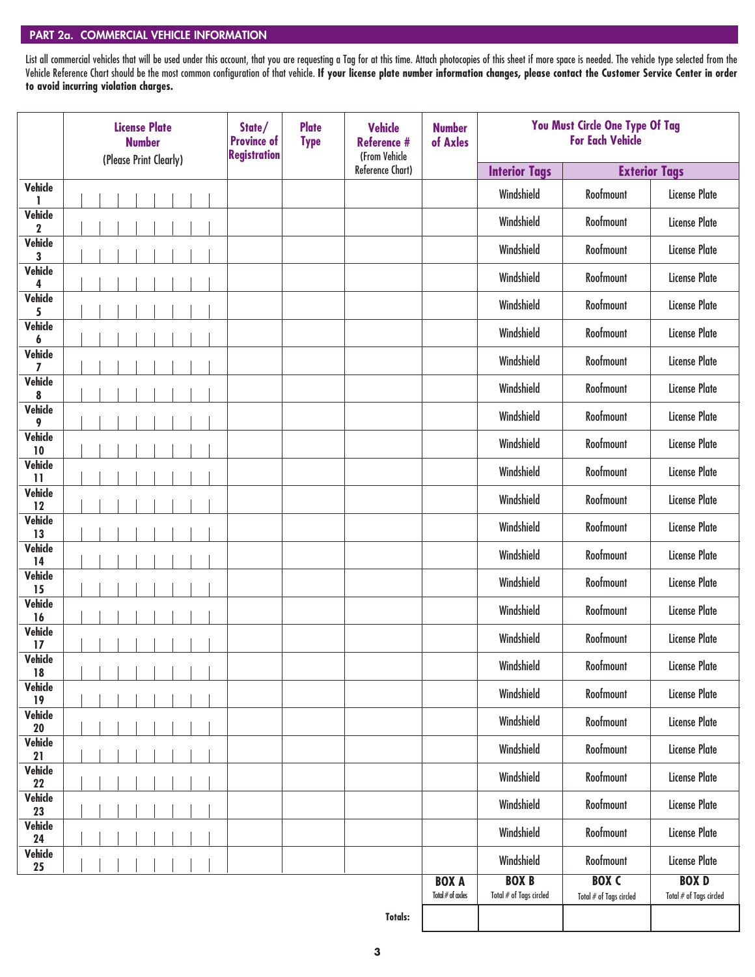### PART 2a. COMMERCIAL VEHICLE INFORMATION

List all commercial vehicles that will be used under this account, that you are requesting a Tag for at this time. Attach photocopies of this sheet if more space is needed. The vehicle type selected from the Vehicle Reference Chart should be the most common configuration of that vehicle. **If your license plate number information changes, please contact the Customer Service Center in order to avoid incurring violation charges.**

|                               | <b>License Plate</b><br><b>Number</b><br>(Please Print Clearly) |  |  | State/<br><b>Province of</b><br><b>Registration</b> | <b>Plate</b><br><b>Type</b> | <b>Vehicle</b><br><b>Reference #</b><br>(From Vehicle | <b>Number</b><br>of Axles |                                    | You Must Circle One Type Of Tag<br><b>For Each Vehicle</b> |                                                                                 |                                           |
|-------------------------------|-----------------------------------------------------------------|--|--|-----------------------------------------------------|-----------------------------|-------------------------------------------------------|---------------------------|------------------------------------|------------------------------------------------------------|---------------------------------------------------------------------------------|-------------------------------------------|
|                               |                                                                 |  |  |                                                     |                             |                                                       | Reference Chart)          |                                    | <b>Interior Tags</b>                                       | <b>Exterior Tags</b>                                                            |                                           |
| Vehicle<br>1                  |                                                                 |  |  |                                                     |                             |                                                       |                           |                                    | Windshield                                                 | Roofmount                                                                       | <b>License Plate</b>                      |
| <b>Vehicle</b><br>$\mathbf 2$ |                                                                 |  |  |                                                     |                             |                                                       |                           |                                    | Windshield                                                 | Roofmount                                                                       | <b>License Plate</b>                      |
| <b>Vehicle</b><br>3           |                                                                 |  |  |                                                     |                             |                                                       |                           |                                    | Windshield                                                 | Roofmount                                                                       | <b>License Plate</b>                      |
| <b>Vehicle</b><br>4           |                                                                 |  |  |                                                     |                             |                                                       |                           |                                    | Windshield                                                 | Roofmount                                                                       | <b>License Plate</b>                      |
| <b>Vehicle</b><br>5           |                                                                 |  |  |                                                     |                             |                                                       |                           |                                    | Windshield                                                 | Roofmount                                                                       | <b>License Plate</b>                      |
| <b>Vehicle</b><br>6           |                                                                 |  |  |                                                     |                             |                                                       |                           |                                    | Windshield                                                 | Roofmount                                                                       | <b>License Plate</b>                      |
| Vehicle<br>7                  |                                                                 |  |  |                                                     |                             |                                                       |                           |                                    | Windshield                                                 | Roofmount                                                                       | <b>License Plate</b>                      |
| Vehicle<br>8                  |                                                                 |  |  |                                                     |                             |                                                       |                           |                                    | Windshield                                                 | Roofmount                                                                       | <b>License Plate</b>                      |
| <b>Vehicle</b><br>9           |                                                                 |  |  |                                                     |                             |                                                       |                           |                                    | Windshield                                                 | Roofmount                                                                       | <b>License Plate</b>                      |
| Vehicle<br>10                 |                                                                 |  |  |                                                     |                             |                                                       |                           |                                    | Windshield                                                 | Roofmount                                                                       | <b>License Plate</b>                      |
| <b>Vehicle</b><br>11          |                                                                 |  |  |                                                     |                             |                                                       |                           |                                    | Windshield                                                 | Roofmount                                                                       | <b>License Plate</b>                      |
| <b>Vehicle</b><br>12          |                                                                 |  |  |                                                     |                             |                                                       |                           |                                    | Windshield                                                 | Roofmount                                                                       | <b>License Plate</b>                      |
| Vehicle<br>13                 |                                                                 |  |  |                                                     |                             |                                                       |                           |                                    | Windshield                                                 | Roofmount                                                                       | <b>License Plate</b>                      |
| Vehicle<br>14                 |                                                                 |  |  |                                                     |                             |                                                       |                           |                                    | Windshield                                                 | Roofmount                                                                       | <b>License Plate</b>                      |
| <b>Vehicle</b><br>15          |                                                                 |  |  |                                                     |                             |                                                       |                           |                                    | Windshield                                                 | Roofmount                                                                       | <b>License Plate</b>                      |
| Vehicle<br>16                 |                                                                 |  |  |                                                     |                             |                                                       |                           |                                    | Windshield                                                 | Roofmount                                                                       | <b>License Plate</b>                      |
| Vehicle<br>17                 |                                                                 |  |  |                                                     |                             |                                                       |                           |                                    | Windshield                                                 | Roofmount                                                                       | <b>License Plate</b>                      |
| Vehicle<br>18                 |                                                                 |  |  |                                                     |                             |                                                       |                           |                                    | Windshield                                                 | Roofmount                                                                       | License Plate                             |
| Vehicle<br>19                 |                                                                 |  |  |                                                     |                             |                                                       |                           |                                    | Windshield                                                 | Roofmount                                                                       | <b>License Plate</b>                      |
| Vehicle<br>20                 |                                                                 |  |  |                                                     |                             |                                                       |                           |                                    | Windshield                                                 | Roofmount                                                                       | <b>License Plate</b>                      |
| Vehicle<br>21                 |                                                                 |  |  |                                                     |                             |                                                       |                           |                                    | Windshield                                                 | Roofmount                                                                       | <b>License Plate</b>                      |
| Vehicle<br>22                 |                                                                 |  |  |                                                     |                             |                                                       |                           |                                    | Windshield                                                 | Roofmount                                                                       | <b>License Plate</b>                      |
| Vehicle<br>23                 |                                                                 |  |  |                                                     |                             |                                                       |                           |                                    | Windshield                                                 | Roofmount                                                                       | <b>License Plate</b>                      |
| Vehicle<br>24                 |                                                                 |  |  |                                                     |                             |                                                       |                           |                                    | Windshield                                                 | Roofmount                                                                       | <b>License Plate</b>                      |
| Vehicle<br>25                 |                                                                 |  |  |                                                     |                             |                                                       |                           |                                    | Windshield                                                 | Roofmount                                                                       | <b>License Plate</b>                      |
|                               |                                                                 |  |  |                                                     |                             |                                                       |                           | <b>BOX A</b><br>Total $#$ of axles | <b>BOX B</b><br>Total $\#$ of Tags circled                 | <b>BOX C</b><br>$\textsf{Total} \mathbin{\#} \mathsf{of} \textsf{Tags}$ circled | <b>BOXD</b><br>Total $\#$ of Tags circled |

**Totals:**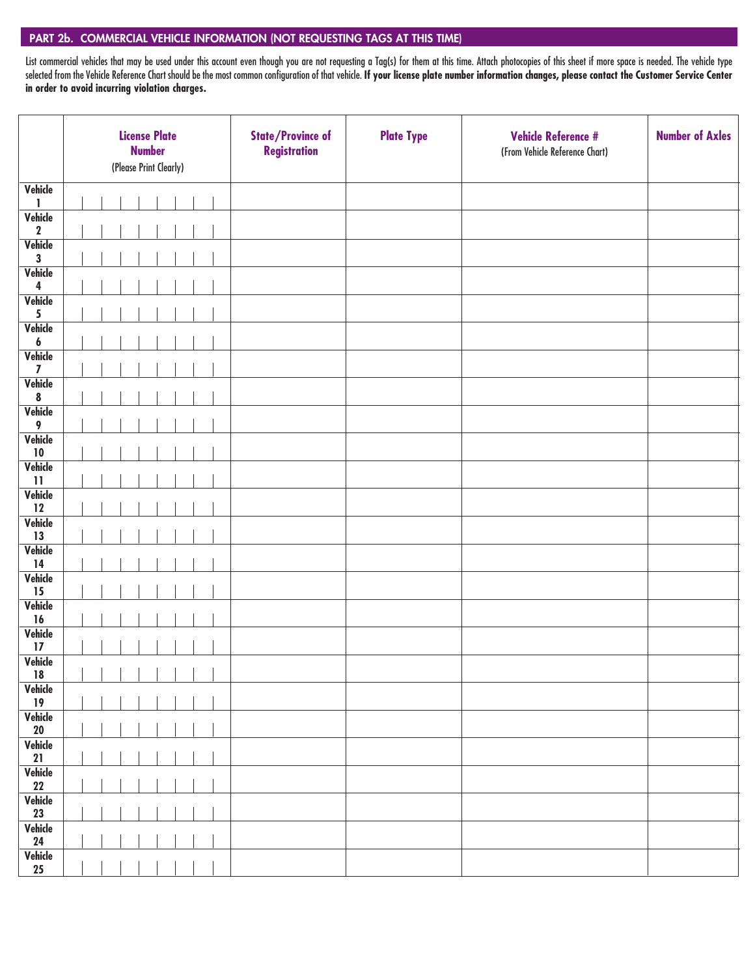### PART 2b. COMMERCIAL VEHICLE INFORMATION (NOT REQUESTING TAGS AT THIS TIME)

List commercial vehicles that may be used under this account even though you are not requesting a Tag(s) for them at this time. Attach photocopies of this sheet if more space is needed. The vehicle type selected from the Vehicle Reference Chart should be the most common configuration of that vehicle. **If your license plate number information changes, please contact the Customer Service Center in order to avoid incurring violation charges.**

|                                    | <b>License Plate</b><br><b>Number</b><br>(Please Print Clearly) | <b>State/Province of</b><br><b>Registration</b> | <b>Plate Type</b> | <b>Vehicle Reference #</b><br>(From Vehicle Reference Chart) | <b>Number of Axles</b> |
|------------------------------------|-----------------------------------------------------------------|-------------------------------------------------|-------------------|--------------------------------------------------------------|------------------------|
| Vehicle                            |                                                                 |                                                 |                   |                                                              |                        |
| 1<br>Vehicle                       |                                                                 |                                                 |                   |                                                              |                        |
| $\mathbf 2$                        |                                                                 |                                                 |                   |                                                              |                        |
| Vehicle                            |                                                                 |                                                 |                   |                                                              |                        |
| $\mathbf{3}$<br>Vehicle            |                                                                 |                                                 |                   |                                                              |                        |
| 4                                  |                                                                 |                                                 |                   |                                                              |                        |
| Vehicle                            |                                                                 |                                                 |                   |                                                              |                        |
| 5<br>Vehicle                       |                                                                 |                                                 |                   |                                                              |                        |
| $\boldsymbol{6}$                   |                                                                 |                                                 |                   |                                                              |                        |
| Vehicle                            |                                                                 |                                                 |                   |                                                              |                        |
| $\overline{\mathbf{z}}$<br>Vehicle |                                                                 |                                                 |                   |                                                              |                        |
| 8                                  |                                                                 |                                                 |                   |                                                              |                        |
| Vehicle<br>9                       |                                                                 |                                                 |                   |                                                              |                        |
| Vehicle                            |                                                                 |                                                 |                   |                                                              |                        |
| $10\,$                             |                                                                 |                                                 |                   |                                                              |                        |
| Vehicle<br>$\overline{11}$         |                                                                 |                                                 |                   |                                                              |                        |
| Vehicle                            |                                                                 |                                                 |                   |                                                              |                        |
| 12                                 |                                                                 |                                                 |                   |                                                              |                        |
| Vehicle<br>13                      |                                                                 |                                                 |                   |                                                              |                        |
| Vehicle                            |                                                                 |                                                 |                   |                                                              |                        |
| 14                                 |                                                                 |                                                 |                   |                                                              |                        |
| Vehicle<br>15                      |                                                                 |                                                 |                   |                                                              |                        |
| Vehicle                            |                                                                 |                                                 |                   |                                                              |                        |
| 16                                 |                                                                 |                                                 |                   |                                                              |                        |
| Vehicle<br>17                      |                                                                 |                                                 |                   |                                                              |                        |
| Vehicle                            |                                                                 |                                                 |                   |                                                              |                        |
| ${\bf 18}$                         |                                                                 |                                                 |                   |                                                              |                        |
| Vehicle<br>19                      |                                                                 |                                                 |                   |                                                              |                        |
| Vehicle                            |                                                                 |                                                 |                   |                                                              |                        |
| ${\bf 20}$                         |                                                                 |                                                 |                   |                                                              |                        |
| Vehicle<br>21                      |                                                                 |                                                 |                   |                                                              |                        |
| Vehicle                            |                                                                 |                                                 |                   |                                                              |                        |
| 22                                 |                                                                 |                                                 |                   |                                                              |                        |
| Vehicle<br>23                      |                                                                 |                                                 |                   |                                                              |                        |
| Vehicle                            |                                                                 |                                                 |                   |                                                              |                        |
| 24                                 |                                                                 |                                                 |                   |                                                              |                        |
| Vehicle<br>25                      |                                                                 |                                                 |                   |                                                              |                        |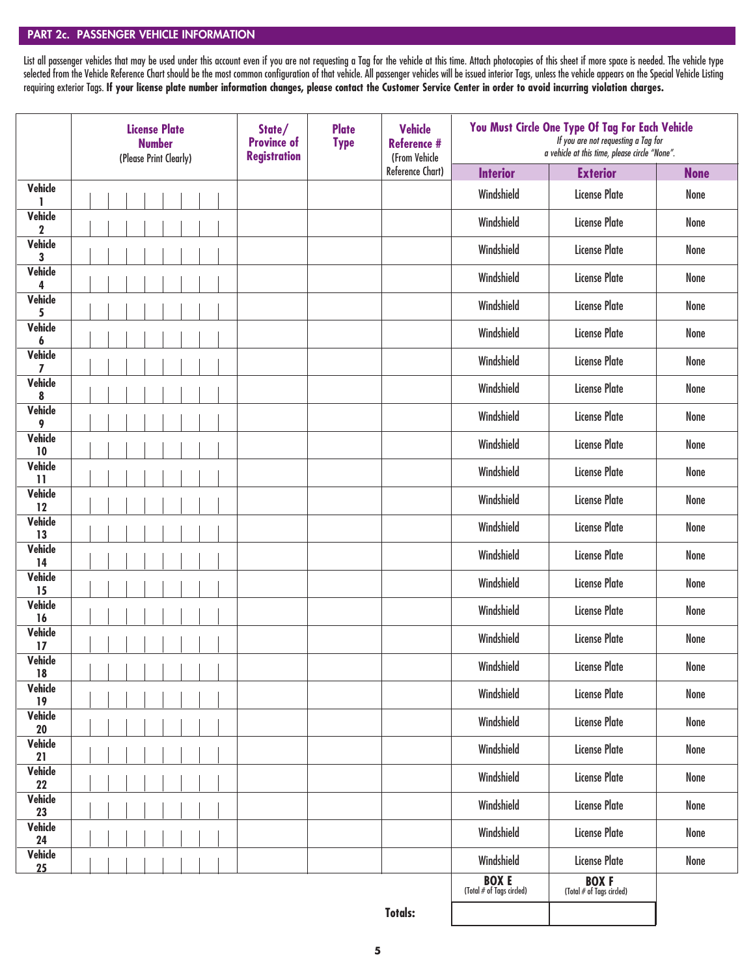### PART 2c. PASSENGER VEHICLE INFORMATION

List all passenger vehicles that may be used under this account even if you are not requesting a Tag for the vehicle at this time. Attach photocopies of this sheet if more space is needed. The vehicle type selected from the Vehicle Reference Chart should be the most common configuration of that vehicle. All passenger vehicles will be issued interior Tags, unless the vehicle appears on the Special Vehicle Listing requiring exterior Tags. **If your license plate number information changes, please contact the Customer Service Center in order to avoid incurring violation charges.**

|                         | <b>License Plate</b><br><b>Number</b><br>(Please Print Clearly) | State/<br><b>Province of</b><br><b>Registration</b> | <b>Plate</b><br><b>Type</b> | <b>Vehicle</b><br><b>Reference #</b><br>(From Vehicle |                                          | You Must Circle One Type Of Tag For Each Vehicle<br>If you are not requesting a Tag for<br>a vehicle at this time, please circle "None". |             |
|-------------------------|-----------------------------------------------------------------|-----------------------------------------------------|-----------------------------|-------------------------------------------------------|------------------------------------------|------------------------------------------------------------------------------------------------------------------------------------------|-------------|
|                         |                                                                 |                                                     |                             | Reference Chart)                                      | <b>Interior</b>                          | <b>Exterior</b>                                                                                                                          | <b>None</b> |
| Vehicle<br>ı            |                                                                 |                                                     |                             |                                                       | Windshield                               | <b>License Plate</b>                                                                                                                     | None        |
| Vehicle<br>$\mathbf 2$  |                                                                 |                                                     |                             |                                                       | Windshield                               | <b>License Plate</b>                                                                                                                     | None        |
| Vehicle<br>3            |                                                                 |                                                     |                             |                                                       | Windshield                               | <b>License Plate</b>                                                                                                                     | None        |
| Vehicle<br>4            |                                                                 |                                                     |                             |                                                       | Windshield                               | <b>License Plate</b>                                                                                                                     | None        |
| Vehicle<br>5            |                                                                 |                                                     |                             |                                                       | Windshield                               | <b>License Plate</b>                                                                                                                     | None        |
| Vehicle<br>6            |                                                                 |                                                     |                             |                                                       | Windshield                               | <b>License Plate</b>                                                                                                                     | None        |
| Vehicle<br>7            |                                                                 |                                                     |                             |                                                       | Windshield                               | <b>License Plate</b>                                                                                                                     | None        |
| Vehicle<br>8            |                                                                 |                                                     |                             |                                                       | Windshield                               | <b>License Plate</b>                                                                                                                     | None        |
| Vehicle<br>9            |                                                                 |                                                     |                             |                                                       | Windshield                               | <b>License Plate</b>                                                                                                                     | None        |
| Vehicle<br>10           |                                                                 |                                                     |                             |                                                       | Windshield                               | <b>License Plate</b>                                                                                                                     | None        |
| Vehicle<br>$\mathbf{1}$ |                                                                 |                                                     |                             |                                                       | Windshield                               | <b>License Plate</b>                                                                                                                     | None        |
| Vehicle<br>12           |                                                                 |                                                     |                             |                                                       | Windshield                               | <b>License Plate</b>                                                                                                                     | None        |
| Vehicle<br>13           |                                                                 |                                                     |                             |                                                       | Windshield                               | <b>License Plate</b>                                                                                                                     | None        |
| Vehicle<br>14           |                                                                 |                                                     |                             |                                                       | Windshield                               | <b>License Plate</b>                                                                                                                     | None        |
| Vehicle<br>15           |                                                                 |                                                     |                             |                                                       | Windshield                               | <b>License Plate</b>                                                                                                                     | None        |
| Vehicle<br>16           |                                                                 |                                                     |                             |                                                       | Windshield                               | <b>License Plate</b>                                                                                                                     | None        |
| Vehicle<br>17           |                                                                 |                                                     |                             |                                                       | Windshield                               | <b>License Plate</b>                                                                                                                     | None        |
| Vehicle<br>18           |                                                                 |                                                     |                             |                                                       | Windshield                               | <b>License Plate</b>                                                                                                                     | None        |
| Vehicle<br>19           |                                                                 |                                                     |                             |                                                       | Windshield                               | <b>License Plate</b>                                                                                                                     | None        |
| Vehicle<br>20           |                                                                 |                                                     |                             |                                                       | Windshield                               | <b>License Plate</b>                                                                                                                     | None        |
| Vehicle<br>21           |                                                                 |                                                     |                             |                                                       | Windshield                               | <b>License Plate</b>                                                                                                                     | None        |
| Vehicle<br>22           |                                                                 |                                                     |                             |                                                       | Windshield                               | <b>License Plate</b>                                                                                                                     | None        |
| Vehicle<br>23           |                                                                 |                                                     |                             |                                                       | Windshield                               | <b>License Plate</b>                                                                                                                     | None        |
| Vehicle<br>24           |                                                                 |                                                     |                             |                                                       | Windshield                               | <b>License Plate</b>                                                                                                                     | None        |
| Vehicle<br>25           |                                                                 |                                                     |                             |                                                       | Windshield                               | <b>License Plate</b>                                                                                                                     | None        |
|                         |                                                                 |                                                     |                             |                                                       | <b>BOXE</b><br>(Total # of Tags circled) | <b>BOXF</b><br>(Total # of Tags circled)                                                                                                 |             |

**Totals:**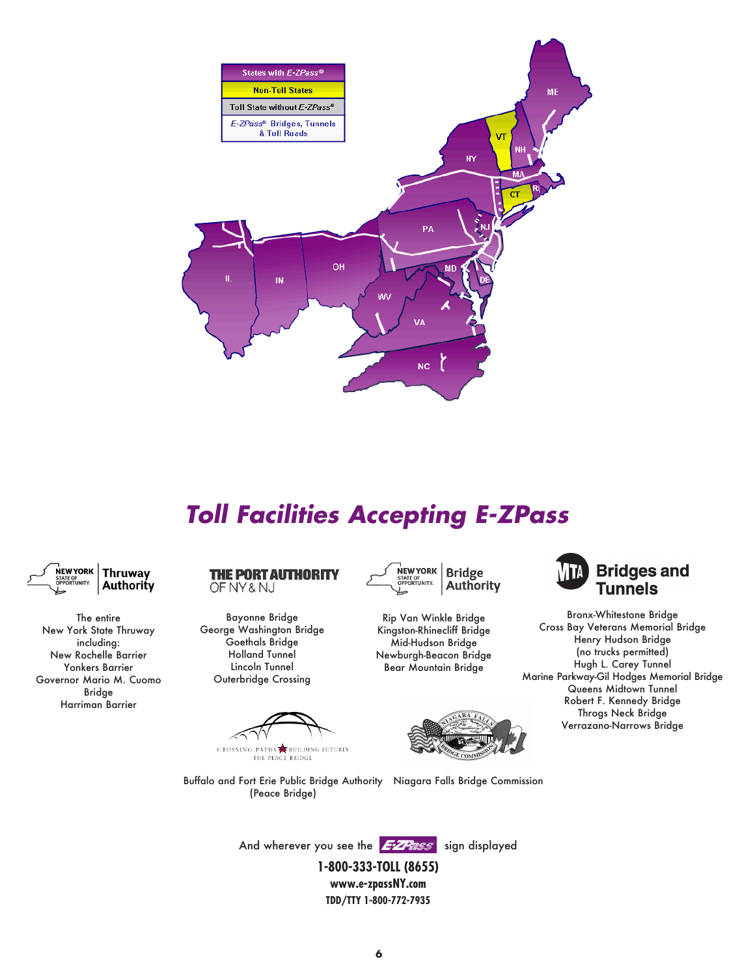

# *Toll Facilities Accepting E-ZPass*



The entire New York State Thruway including: New Rochelle Barrier Yonkers Barrier Governor Mario M. Cuomo Bridge Harriman Barrier

**THE PORT AUTHORITY** OF NY & NJ

Bayonne Bridge George Washington Bridge Goethals Bridge Holland Tunnel Lincoln Tunnel Outerbridge Crossing

CROSSING PATHS BUILDING FUTURES<br>THE PEACE BRIDGE



Rip Van Winkle Bridge Kingston-Rhinecliff Bridge Mid-Hudson Bridge Newburgh-Beacon Bridge Bear Mountain Bridge





Bronx-Whitestone Bridge Cross Bay Veterans Memorial Bridge Henry Hudson Bridge (no trucks permitted) Hugh L. Carey Tunnel Marine Parkway-Gil Hodges Memorial Bridge Queens Midtown Tunnel Robert F. Kennedy Bridge Throgs Neck Bridge Verrazano-Narrows Bridge

Buffalo and Fort Erie Public Bridge Authority Niagara Falls Bridge Commission (Peace Bridge)

And wherever you see the 277 FIS sign displayed

**1-800-333-TOLL (8655) www.e-zpassNY.com TDD/TTY 1-800-772-7935**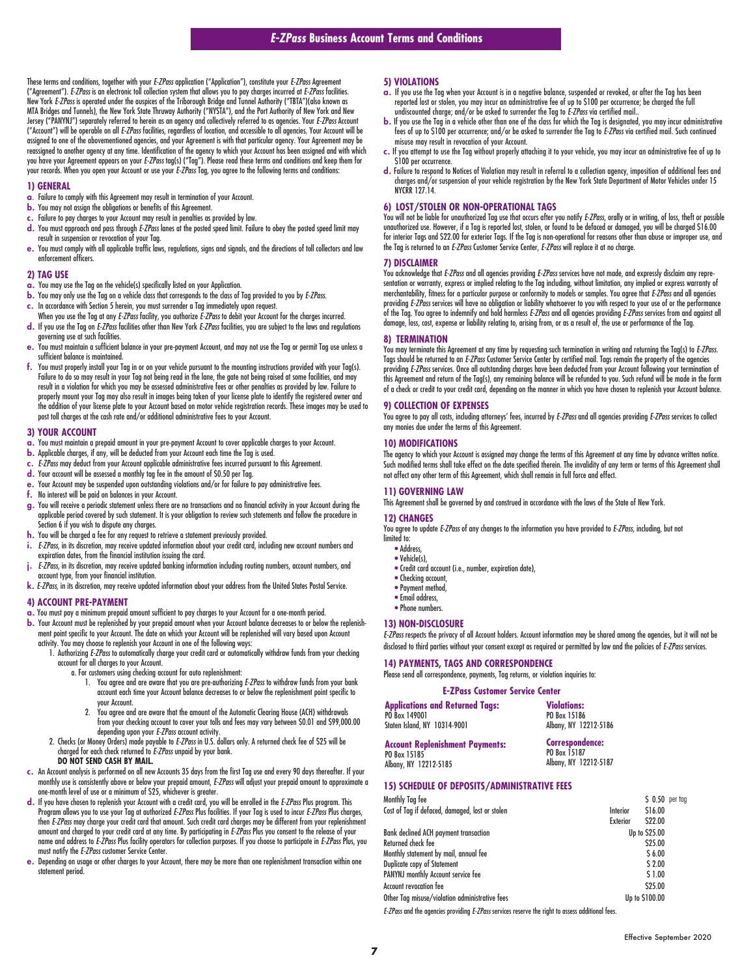These terms and conditions, together with your *E-ZPass* application ("Application"), constitute your *E-ZPass* Agreement ("Agreement"). *E-ZPass* is an electronic toll collection system that allows you to pay charges incurred at *E-ZPass* facilities. New York *E-ZPass* is operated under the auspices of the Triborough Bridge and Tunnel Authority ("TBTA")(also known as MTA Bridges and Tunnels), the New York State Thruway Authority ("NYSTA"), and the Port Authority of New York and New Jersey ("PANYNJ") separately referred to herein as an agency and collectively referred to as agencies. Your *E-ZPass* Account ("Account") will be operable on all *E-ZPass* facilities, regardless of location, and accessible to all agencies. Your Account will be assigned to one of the abovementioned agencies, and your Agreement is with that particular agency. Your Agreement may be reassigned to another agency at any time. Identification of the agency to which your Account has been assigned and with which you have your Agreement appears on your *E-ZPass* tag(s) ("Tag"). Please read these terms and conditions and keep them for your records. When you open your Account or use your *E-ZPass* Tag, you agree to the following terms and conditions:

#### **1) GENERAL**

- a. Failure to comply with this Agreement may result in termination of your Account.
- b. You may not assign the obligations or benefits of this Agreement.
- c. Failure to pay charges to your Account may result in penalties as provided by law.
- d. You must approach and pass through *E-ZPass* lanes at the posted speed limit. Failure to obey the posted speed limit may result in suspension or revocation of your Tag.
- e. You must comply with all applicable traffic laws, regulations, signs and signals, and the directions of toll collectors and law enforcement officers.

### **2) TAG USE**

- a. You may use the Tag on the vehicle(s) specifically listed on your Application.
- b. You may only use the Tag on a vehicle class that corresponds to the class of Tag provided to you by *E-ZPass*.
- c. In accordance with Section 5 herein, you must surrender a Tag immediately upon request.
- When you use the Tag at any *E-ZPass* facility, you authorize *E-ZPass* to debit your Account for the charges incurred. d. If you use the Tag on *E-ZPass* facilities other than New York *E-ZPass* facilities, you are subject to the laws and regulations governing use at such facilities.
- e. You must maintain a sufficient balance in your pre-payment Account, and may not use the Tag or permit Tag use unless a sufficient balance is maintained.
- f. You must properly install your Tag in or on your vehicle pursuant to the mounting instructions provided with your Tag(s). Failure to do so may result in your Tag not being read in the lane, the gate not being raised at some facilities, and may result in a violation for which you may be assessed administrative fees or other penalties as provided by law. Failure to properly mount your Tag may also result in images being taken of your license plate to identify the registered owner and the addition of your license plate to your Account based on motor vehicle registration records. These images may be used to post toll charges at the cash rate and/or additional administrative fees to your Account.

#### **3) YOUR ACCOUNT**

- a. You must maintain a prepaid amount in your pre-payment Account to cover applicable charges to your Account.
- b. Applicable charges, if any, will be deducted from your Account each time the Tag is used.
- c. *E-ZPass* may deduct from your Account applicable administrative fees incurred pursuant to this Agreement.
- d. Your account will be assessed a monthly tag fee in the amount of \$0.50 per Tag.
- e. Your Account may be suspended upon outstanding violations and/or for failure to pay administrative fees.
- f. No interest will be paid on balances in your Account.
- g. You will receive a periodic statement unless there are no transactions and no financial activity in your Account during the applicable period covered by such statement. It is your obligation to review such statements and follow the procedure in Section 6 if you wish to dispute any charges.
- h. You will be charged a fee for any request to retrieve a statement previously provided.
- i. *E-ZPass*, in its discretion, may receive updated information about your credit card, including new account numbers and expiration dates, from the financial institution issuing the card.
- j. *E-ZPass*, in its discretion, may receive updated banking information including routing numbers, account numbers, and
- account type, from your financial institution.
- k. *E-ZPass,* in its discretion, may receive updated information about your address from the United States Postal Service.

### **4) ACCOUNT PRE-PAYMENT**

- a. You must pay a minimum prepaid amount sufficient to pay charges to your Account for a one-month period.
- b. Your Account must be replenished by your prepaid amount when your Account balance decreases to or below the replenishment point specific to your Account. The date on which your Account will be replenished will vary based upon Account activity. You may choose to replenish your Account in one of the following ways:
	- 1. Authorizing *E-ZPass* to automatically charge your credit card or automatically withdraw funds from your checking account for all charges to your Account.
		- a. For customers using checking account for auto replenishment:
			- 1. You agree and are aware that you are pre-authorizing *E-ZPass* to withdraw funds from your bank account each time your Account balance decreases to or below the replenishment point specific to your Account.
			- 2. You agree and are aware that the amount of the Automatic Clearing House (ACH) withdrawals from your checking account to cover your tolls and fees may vary between \$0.01 and \$99,000.00 depending upon your *E-ZPass* account activity.
	- 2. Checks (or Money Orders) made payable to *E-ZPass* in U.S. dollars only. A returned check fee of \$25 will be charged for each check returned to *E-ZPass* unpaid by your bank. **DO NOT SEND CASH BY MAIL.**
		-
- c. An Account analysis is performed on all new Accounts 35 days from the first Tag use and every 90 days thereafter. If your<br>monthly use is consistently above or below your prepaid amount, *E-ZPass* will adjust your prep one-month level of use or a minimum of \$25, whichever is greater.
- d. If you have chosen to replenish your Account with a credit card, you will be enrolled in the *E-ZPass* Plus program. This Program allows you to use your Tag at authorized *E-ZPass* Plus facilities. If your Tag is used to incur *E-ZPass* Plus charges, then E-ZPass may charge your credit card that amount. Such credit card charges may be different from your replenishment<br>amount and charged to your credit card at any time. By participating in E-ZPass Plus you consent to th name and address to *E-ZPass* Plus facility operators for collection purposes. If you choose to participate in *E-ZPass* Plus, you must notify the *E-ZPass* customer Service Center.
- e. Depending on usage or other charges to your Account, there may be more than one replenishment transaction within one statement period.

### **5) VIOLATIONS**

- $\alpha$ . If you use the Tag when your Account is in a negative balance, suspended or revoked, or after the Tag has been reported lost or stolen, you may incur an administrative fee of up to \$100 per occurrence; be charged the full undiscounted charge; and/or be asked to surrender the Tag to *E-ZPass* via certified mail..
- b. If you use the Tag in a vehicle other than one of the class for which the Tag is designated, you may incur administrative fees of up to \$100 per occurrence; and/or be asked to surrender the Tag to *E-ZPass* via certified mail. Such continued misuse may result in revocation of your Account.
- c. If you attempt to use the Tag without properly attaching it to your vehicle, you may incur an administrative fee of up to \$100 per occurrence.
- d. Failure to respond to Notices of Violation may result in referral to a collection agency, imposition of additional fees and charges and/or suspension of your vehicle registration by the New York State Department of Motor Vehicles under 15 **NYCRR 12714**

### **6) LOST/STOLEN OR NON-OPERATIONAL TAGS**

You will not be liable for unauthorized Tag use that occurs after you notify *E-ZPass*, orally or in writing, of loss, theft or possible unauthorized use. However, if a Tag is reported lost, stolen, or found to be defaced or damaged, you will be charged \$16.00 for interior Tags and \$22.00 for exterior Tags. If the Tag is non-operational for reasons other than abuse or improper use, and the Tag is returned to an *E-ZPass* Customer Service Center, *E-ZPass* will replace it at no charge.

### **7) DISCLAIMER**

You acknowledge that *E-ZPass* and all agencies providing *E-ZPass* services have not made, and expressly disclaim any representation or warranty, express or implied relating to the Tag including, without limitation, any implied or express warranty of merchantability, fitness for a particular purpose or conformity to models or samples. You agree that *E-ZPass* and all agencies providing *E-ZPass* services will have no obligation or liability whatsoever to you with respect to your use of or the performance of the Tag. You agree to indemnify and hold harmless *E-ZPass* and all agencies providing *E-ZPass* services from and against all damage, loss, cost, expense or liability relating to, arising from, or as a result of, the use or performance of the Tag.

#### **8) TERMINATION**

You may terminate this Agreement at any time by requesting such termination in writing and returning the Tag(s) to *E-ZPass*. Tags should be returned to an *E-ZPass* Customer Service Center by certified mail. Tags remain the property of the agencies providing *E-ZPass* services. Once all outstanding charges have been deducted from your Account following your termination of this Agreement and return of the Tag(s), any remaining balance will be refunded to you. Such refund will be made in the form of a check or credit to your credit card, depending on the manner in which you have chosen to replenish your Account balance.

### **9) COLLECTION OF EXPENSES**

You agree to pay all costs, including attorneys' fees, incurred by *E-ZPass* and all agencies providing *E-ZPass* services to collect any monies due under the terms of this Agreement.

#### **10) MODIFICATIONS**

The agency to which your Account is assigned may change the terms of this Agreement at any time by advance written notice. Such modified terms shall take effect on the date specified therein. The invalidity of any term or terms of this Agreement shall not affect any other term of this Agreement, which shall remain in full force and effect.

# **11) GOVERNING LAW**

This Agreement shall be governed by and construed in accordance with the laws of the State of New York.

#### **12) CHANGES**

You agree to update *E-ZPass* of any changes to the information you have provided to *E-ZPass*, including, but not limited to:

- Address,
- Vehicle(s),
- Credit card account (i.e., number, expiration date),
- Checking account.
- Payment method • Email address,
- Phone numbers.

### **13) NON-DISCLOSURE**

Albany, NY 12212-5185

*E-ZPass* respects the privacy of all Account holders. Account information may be shared among the agencies, but it will not be disclosed to third parties without your consent except as required or permitted by law and the policies of *E-ZPass* services.

### **14) PAYMENTS, TAGS AND CORRESPONDENCE**

Please send all correspondence, payments, Tag returns, or violation inquiries to:

### **E-ZPass Customer Service Center**

| <b>Applications and Returned Tags:</b> | <b>Violations:</b>     |
|----------------------------------------|------------------------|
| PO Box 149001                          | PO Box 15186           |
| Staten Island, NY 10314-9001           | Albany, NY 12212-5186  |
| <b>Account Replenishment Payments:</b> | <b>Correspondence:</b> |
| PO Box 15185                           | PO Box 15187           |

Albany, NY 12212-5187

### **15) SCHEDULE OF DEPOSITS/ADMINISTRATIVE FEES**

| Monthly Tag fee<br>Cost of Tag if defaced, damaged, lost or stolen | Interior<br><b>Exterior</b> | $S$ 0.50 per tag<br>\$16.00<br>S22.00 |  |
|--------------------------------------------------------------------|-----------------------------|---------------------------------------|--|
| <b>Bank declined ACH payment transaction</b>                       |                             | Up to \$25.00                         |  |
| Returned check fee                                                 |                             | <b>S25.00</b>                         |  |
| Monthly statement by mail, annual fee                              |                             | S <sub>6.00</sub>                     |  |
| Duplicate copy of Statement                                        |                             | $S$ 2.00                              |  |
| PANYNJ monthly Account service fee                                 |                             | \$1.00                                |  |
| Account revocation fee                                             |                             | <b>S25.00</b>                         |  |
| Other Tag misuse/violation administrative fees                     |                             | Up to \$100.00                        |  |

*E-ZPass* and the agencies providing *E-ZPass* services reserve the right to assess additional fees.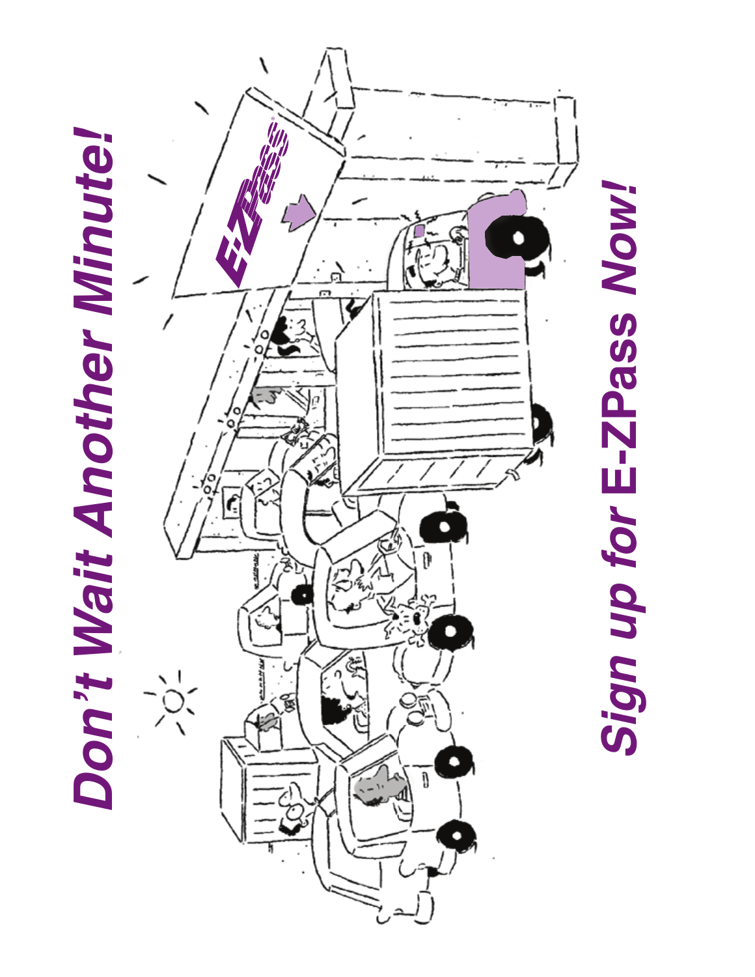



*Sign up for* **E-ZPass** *Now!*Sign up for E-ZPass Now!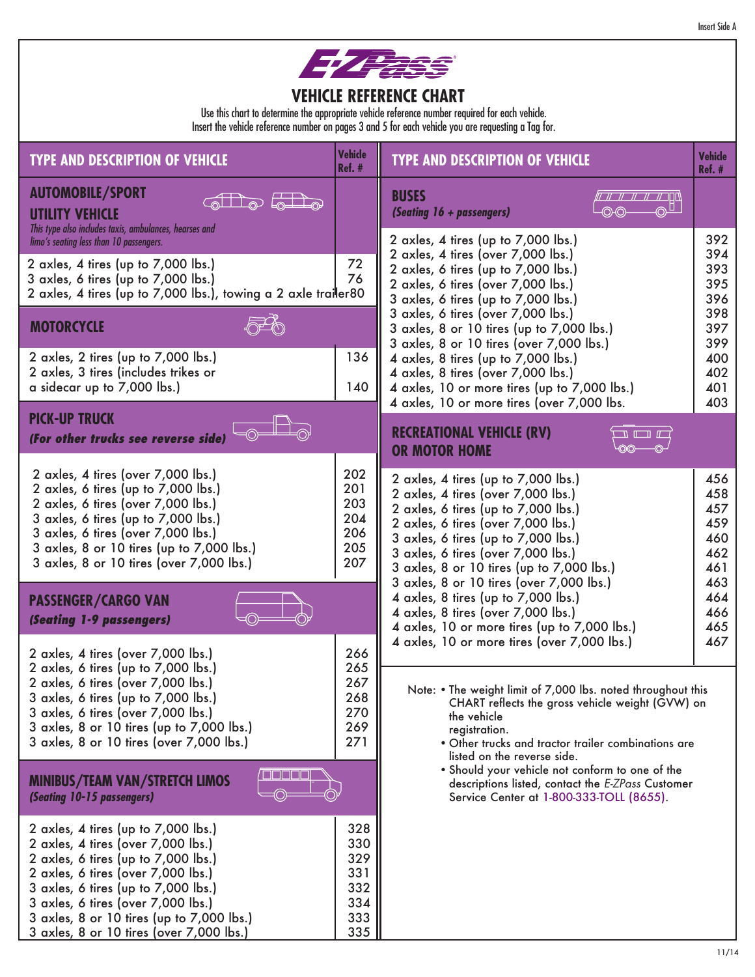|  | <b>Insert Side A</b> |
|--|----------------------|
|--|----------------------|



## **VEHICLE REFERENCE CHART**

Use this chart to determine the appropriate vehicle reference number required for each vehicle. Insert the vehicle reference number on pages 3 and 5 for each vehicle you are requesting a Tag for.

| <b>TYPE AND DESCRIPTION OF VEHICLE</b>                                                                                                                                                                                                                                                                                       | <b>Vehicle</b><br>$Ref.$ #                           | <b>TYPE AND DESCRIPTION OF VEHICLE</b>                                                                                                                                                                                                                                                | <b>Vehicle</b><br><b>Ref. #</b>               |
|------------------------------------------------------------------------------------------------------------------------------------------------------------------------------------------------------------------------------------------------------------------------------------------------------------------------------|------------------------------------------------------|---------------------------------------------------------------------------------------------------------------------------------------------------------------------------------------------------------------------------------------------------------------------------------------|-----------------------------------------------|
| <b>AUTOMOBILE/SPORT</b><br><b>UTILITY VEHICLE</b><br>This type also includes taxis, ambulances, hearses and                                                                                                                                                                                                                  |                                                      | <b>BUSES</b><br>$\circ$ U<br>(Seating 16 + passengers)<br>(OHO)                                                                                                                                                                                                                       |                                               |
| limo's seating less than 10 passengers.<br>2 axles, 4 tires (up to 7,000 lbs.)<br>3 axles, 6 tires (up to 7,000 lbs.)<br>2 axles, 4 tires (up to 7,000 lbs.), towing a 2 axle trailer80                                                                                                                                      | 72<br>76                                             | 2 axles, 4 tires (up to 7,000 lbs.)<br>2 axles, 4 tires (over 7,000 lbs.)<br>2 axles, 6 tires (up to 7,000 lbs.)<br>2 axles, 6 tires (over 7,000 lbs.)<br>3 axles, 6 tires (up to 7,000 lbs.)                                                                                         | 392<br>394<br>393<br>395<br>396               |
| <b>MOTORCYCLE</b>                                                                                                                                                                                                                                                                                                            |                                                      | 3 axles, 6 tires (over 7,000 lbs.)<br>3 axles, 8 or 10 tires (up to 7,000 lbs.)                                                                                                                                                                                                       | 398<br>397                                    |
| 2 axles, 2 tires (up to 7,000 lbs.)<br>2 axles, 3 tires (includes trikes or<br>a sidecar up to 7,000 lbs.)                                                                                                                                                                                                                   | 136<br>140                                           | 3 axles, 8 or 10 tires (over 7,000 lbs.)<br>4 axles, 8 tires (up to 7,000 lbs.)<br>4 axles, 8 tires (over 7,000 lbs.)<br>4 axles, 10 or more tires (up to 7,000 lbs.)<br>4 axles, 10 or more tires (over 7,000 lbs.                                                                   | 399<br>400<br>402<br>401<br>403               |
| <b>PICK-UP TRUCK</b><br>(For other trucks see reverse side)                                                                                                                                                                                                                                                                  |                                                      | <b>RECREATIONAL VEHICLE (RV)</b><br><b>OR MOTOR HOME</b>                                                                                                                                                                                                                              |                                               |
| 2 axles, 4 tires (over 7,000 lbs.)<br>2 axles, 6 tires (up to 7,000 lbs.)<br>2 axles, 6 tires (over 7,000 lbs.)<br>3 axles, 6 tires (up to 7,000 lbs.)<br>3 axles, 6 tires (over 7,000 lbs.)<br>3 axles, 8 or 10 tires (up to 7,000 lbs.)<br>3 axles, 8 or 10 tires (over 7,000 lbs.)                                        | 202<br>201<br>203<br>204<br>206<br>205<br>207        | 2 axles, 4 tires (up to 7,000 lbs.)<br>2 axles, 4 tires (over 7,000 lbs.)<br>2 axles, 6 tires (up to 7,000 lbs.)<br>2 axles, 6 tires (over 7,000 lbs.)<br>3 axles, 6 tires (up to 7,000 lbs.)<br>3 axles, 6 tires (over 7,000 lbs.)<br>3 axles, 8 or 10 tires (up to 7,000 lbs.)      | 456<br>458<br>457<br>459<br>460<br>462<br>461 |
| <b>PASSENGER/CARGO VAN</b><br>(Seating 1-9 passengers)                                                                                                                                                                                                                                                                       |                                                      | 3 axles, 8 or 10 tires (over 7,000 lbs.)<br>4 axles, 8 tires (up to 7,000 lbs.)<br>4 axles, 8 tires (over 7,000 lbs.)<br>4 axles, 10 or more tires (up to 7,000 lbs.)                                                                                                                 | 463<br>464<br>466<br>465                      |
| 2 axles, 4 tires (over 7,000 lbs.)<br>2 axles, 6 tires (up to 7,000 lbs.)<br>2 axles, 6 tires (over 7,000 lbs.)<br>3 axles, 6 tires (up to 7,000 lbs.)<br>3 axles, 6 tires (over 7,000 lbs.)<br>3 axles, 8 or 10 tires (up to 7,000 lbs.)<br>3 axles, 8 or 10 tires (over 7,000 lbs.)                                        | 266<br>265<br>267<br>268<br>270<br>269<br>271        | 4 axles, 10 or more tires (over 7,000 lbs.)<br>Note: . The weight limit of 7,000 lbs. noted throughout this<br>CHART reflects the gross vehicle weight (GVW) on<br>the vehicle<br>registration.<br>. Other trucks and tractor trailer combinations are<br>listed on the reverse side. | 467                                           |
| <b>MINIBUS/TEAM VAN/STRETCH LIMOS</b><br>(Seating 10-15 passengers)                                                                                                                                                                                                                                                          |                                                      | . Should your vehicle not conform to one of the<br>descriptions listed, contact the E-ZPass Customer<br>Service Center at 1-800-333-TOLL (8655).                                                                                                                                      |                                               |
| 2 axles, 4 tires (up to 7,000 lbs.)<br>2 axles, 4 tires (over 7,000 lbs.)<br>2 axles, 6 tires (up to 7,000 lbs.)<br>2 axles, 6 tires (over 7,000 lbs.)<br>3 axles, 6 tires (up to 7,000 lbs.)<br>3 axles, 6 tires (over 7,000 lbs.)<br>3 axles, 8 or 10 tires (up to 7,000 lbs.)<br>3 axles, 8 or 10 tires (over 7,000 lbs.) | 328<br>330<br>329<br>331<br>332<br>334<br>333<br>335 |                                                                                                                                                                                                                                                                                       |                                               |